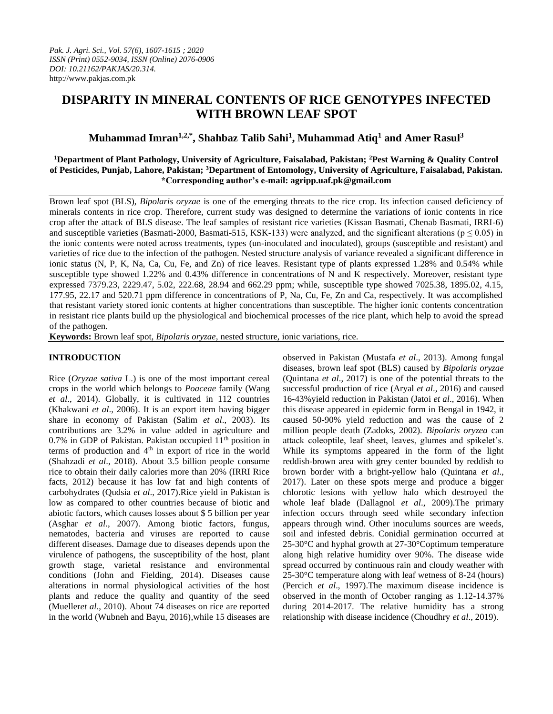# **DISPARITY IN MINERAL CONTENTS OF RICE GENOTYPES INFECTED WITH BROWN LEAF SPOT**

# **Muhammad Imran1,2,\*, Shahbaz Talib Sahi<sup>1</sup> , Muhammad Atiq<sup>1</sup> and Amer Rasul<sup>3</sup>**

## **<sup>1</sup>Department of Plant Pathology, University of Agriculture, Faisalabad, Pakistan; <sup>2</sup>Pest Warning & Quality Control of Pesticides, Punjab, Lahore, Pakistan; <sup>3</sup>Department of Entomology, University of Agriculture, Faisalabad, Pakistan. \*Corresponding author's e-mail: agripp.uaf.pk@gmail.com**

Brown leaf spot (BLS), *Bipolaris oryzae* is one of the emerging threats to the rice crop. Its infection caused deficiency of minerals contents in rice crop. Therefore, current study was designed to determine the variations of ionic contents in rice crop after the attack of BLS disease. The leaf samples of resistant rice varieties (Kissan Basmati, Chenab Basmati, IRRI-6) and susceptible varieties (Basmati-2000, Basmati-515, KSK-133) were analyzed, and the significant alterations ( $p \le 0.05$ ) in the ionic contents were noted across treatments, types (un-inoculated and inoculated), groups (susceptible and resistant) and varieties of rice due to the infection of the pathogen. Nested structure analysis of variance revealed a significant difference in ionic status (N, P, K, Na, Ca, Cu, Fe, and Zn) of rice leaves. Resistant type of plants expressed 1.28% and 0.54% while susceptible type showed 1.22% and 0.43% difference in concentrations of N and K respectively. Moreover, resistant type expressed 7379.23, 2229.47, 5.02, 222.68, 28.94 and 662.29 ppm; while, susceptible type showed 7025.38, 1895.02, 4.15, 177.95, 22.17 and 520.71 ppm difference in concentrations of P, Na, Cu, Fe, Zn and Ca, respectively. It was accomplished that resistant variety stored ionic contents at higher concentrations than susceptible. The higher ionic contents concentration in resistant rice plants build up the physiological and biochemical processes of the rice plant, which help to avoid the spread of the pathogen.

**Keywords:** Brown leaf spot, *Bipolaris oryzae,* nested structure, ionic variations, rice.

# **INTRODUCTION**

Rice (*Oryzae sativa* L.) is one of the most important cereal crops in the world which belongs to *Poaceae* family (Wang *et al*., 2014). Globally, it is cultivated in 112 countries (Khakwani *et al*., 2006). It is an export item having bigger share in economy of Pakistan (Salim *et al*., 2003). Its contributions are 3.2% in value added in agriculture and 0.7% in GDP of Pakistan. Pakistan occupied  $11<sup>th</sup>$  position in terms of production and  $4<sup>th</sup>$  in export of rice in the world (Shahzadi *et al*., 2018). About 3.5 billion people consume rice to obtain their daily calories more than 20% (IRRI Rice facts, 2012) because it has low fat and high contents of carbohydrates (Qudsia *et al*., 2017).Rice yield in Pakistan is low as compared to other countries because of biotic and abiotic factors, which causes losses about \$ 5 billion per year (Asghar *et al*., 2007). Among biotic factors, fungus, nematodes, bacteria and viruses are reported to cause different diseases. Damage due to diseases depends upon the virulence of pathogens, the susceptibility of the host, plant growth stage, varietal resistance and environmental conditions (John and Fielding, 2014). Diseases cause alterations in normal physiological activities of the host plants and reduce the quality and quantity of the seed (Mueller*et al*., 2010). About 74 diseases on rice are reported in the world (Wubneh and Bayu, 2016),while 15 diseases are observed in Pakistan (Mustafa *et al*., 2013). Among fungal diseases, brown leaf spot (BLS) caused by *Bipolaris oryzae*  (Quintana *et al*., 2017) is one of the potential threats to the successful production of rice (Aryal *et al*., 2016) and caused 16-43%yield reduction in Pakistan (Jatoi *et al*., 2016). When this disease appeared in epidemic form in Bengal in 1942, it caused 50-90% yield reduction and was the cause of 2 million people death (Zadoks, 2002). *Bipolaris oryzea* can attack coleoptile, leaf sheet, leaves, glumes and spikelet's. While its symptoms appeared in the form of the light reddish-brown area with grey center bounded by reddish to brown border with a bright-yellow halo (Quintana *et al*., 2017). Later on these spots merge and produce a bigger chlorotic lesions with yellow halo which destroyed the whole leaf blade (Dallagnol *et al*., 2009).The primary infection occurs through seed while secondary infection appears through wind. Other inoculums sources are weeds, soil and infested debris. Conidial germination occurred at 25-30°C and hyphal growth at 27-30°Coptimum temperature along high relative humidity over 90%. The disease wide spread occurred by continuous rain and cloudy weather with 25-30°C temperature along with leaf wetness of 8-24 (hours) (Percich *et al*., 1997).The maximum disease incidence is observed in the month of October ranging as 1.12-14.37% during 2014-2017. The relative humidity has a strong relationship with disease incidence (Choudhry *et al*., 2019).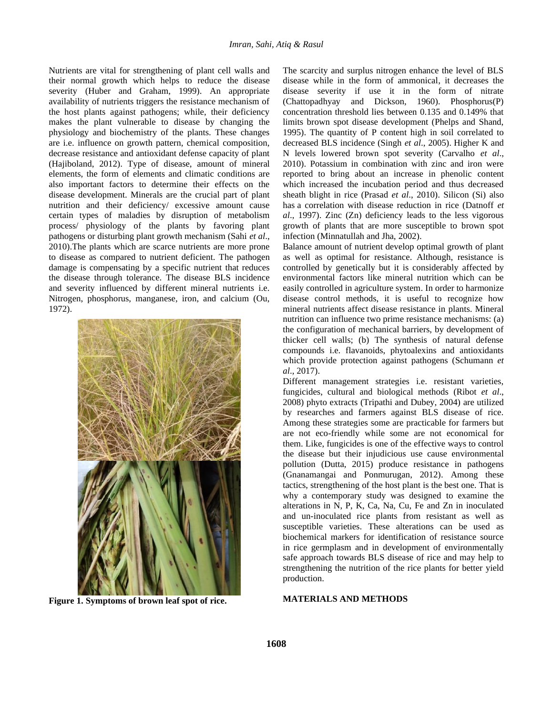Nutrients are vital for strengthening of plant cell walls and their normal growth which helps to reduce the disease severity (Huber and Graham, 1999). An appropriate availability of nutrients triggers the resistance mechanism of the host plants against pathogens; while, their deficiency makes the plant vulnerable to disease by changing the physiology and biochemistry of the plants. These changes are i.e. influence on growth pattern, chemical composition, decrease resistance and antioxidant defense capacity of plant (Hajiboland, 2012). Type of disease, amount of mineral elements, the form of elements and climatic conditions are also important factors to determine their effects on the disease development. Minerals are the crucial part of plant nutrition and their deficiency/ excessive amount cause certain types of maladies by disruption of metabolism process/ physiology of the plants by favoring plant pathogens or disturbing plant growth mechanism (Sahi *et al*., 2010).The plants which are scarce nutrients are more prone to disease as compared to nutrient deficient. The pathogen damage is compensating by a specific nutrient that reduces the disease through tolerance. The disease BLS incidence and severity influenced by different mineral nutrients i.e. Nitrogen, phosphorus, manganese, iron, and calcium (Ou, 1972).



**Figure 1. Symptoms of brown leaf spot of rice.**

The scarcity and surplus nitrogen enhance the level of BLS disease while in the form of ammonical, it decreases the disease severity if use it in the form of nitrate (Chattopadhyay and Dickson, 1960). Phosphorus(P) concentration threshold lies between 0.135 and 0.149% that limits brown spot disease development (Phelps and Shand, 1995). The quantity of P content high in soil correlated to decreased BLS incidence (Singh *et al*., 2005). Higher K and N levels lowered brown spot severity (Carvalho *et al*., 2010). Potassium in combination with zinc and iron were reported to bring about an increase in phenolic content which increased the incubation period and thus decreased sheath blight in rice (Prasad *et al*., 2010). Silicon (Si) also has a correlation with disease reduction in rice (Datnoff *et al*., 1997). Zinc (Zn) deficiency leads to the less vigorous growth of plants that are more susceptible to brown spot infection (Minnatullah and Jha, 2002).

Balance amount of nutrient develop optimal growth of plant as well as optimal for resistance. Although, resistance is controlled by genetically but it is considerably affected by environmental factors like mineral nutrition which can be easily controlled in agriculture system. In order to harmonize disease control methods, it is useful to recognize how mineral nutrients affect disease resistance in plants. Mineral nutrition can influence two prime resistance mechanisms: (a) the configuration of mechanical barriers, by development of thicker cell walls; (b) The synthesis of natural defense compounds i.e. flavanoids, phytoalexins and antioxidants which provide protection against pathogens (Schumann *et al*., 2017).

Different management strategies i.e. resistant varieties, fungicides, cultural and biological methods (Ribot *et al*., 2008) phyto extracts (Tripathi and Dubey, 2004) are utilized by researches and farmers against BLS disease of rice. Among these strategies some are practicable for farmers but are not eco-friendly while some are not economical for them. Like, fungicides is one of the effective ways to control the disease but their injudicious use cause environmental pollution (Dutta, 2015) produce resistance in pathogens (Gnanamangai and Ponmurugan, 2012). Among these tactics, strengthening of the host plant is the best one. That is why a contemporary study was designed to examine the alterations in N, P, K, Ca, Na, Cu, Fe and Zn in inoculated and un-inoculated rice plants from resistant as well as susceptible varieties. These alterations can be used as biochemical markers for identification of resistance source in rice germplasm and in development of environmentally safe approach towards BLS disease of rice and may help to strengthening the nutrition of the rice plants for better yield production.

#### **MATERIALS AND METHODS**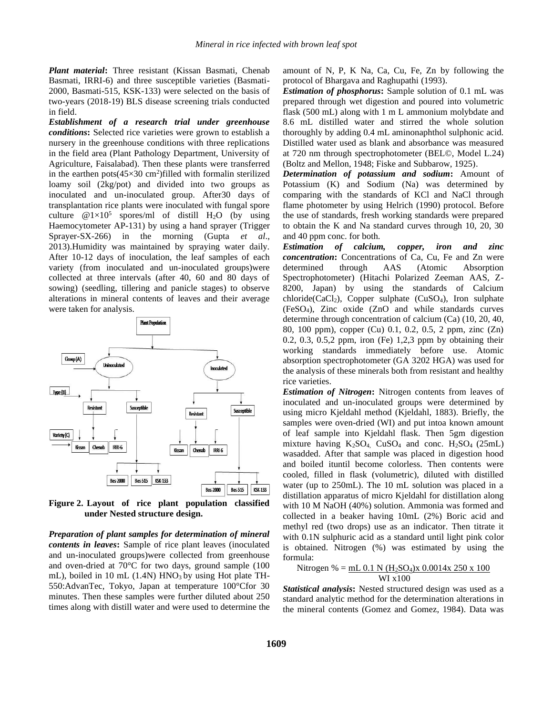*Plant material***:** Three resistant (Kissan Basmati, Chenab Basmati, IRRI-6) and three susceptible varieties (Basmati-2000, Basmati-515, KSK-133) were selected on the basis of two-years (2018-19) BLS disease screening trials conducted in field.

*Establishment of a research trial under greenhouse conditions***:** Selected rice varieties were grown to establish a nursery in the greenhouse conditions with three replications in the field area (Plant Pathology Department, University of Agriculture, Faisalabad). Then these plants were transferred in the earthen pots $(45\times30 \text{ cm}^2)$  filled with formalin sterilized loamy soil (2kg/pot) and divided into two groups as inoculated and un-inoculated group. After30 days of transplantation rice plants were inoculated with fungal spore culture  $@1\times10^5$  spores/ml of distill H<sub>2</sub>O (by using Haemocytometer AP-131) by using a hand sprayer (Trigger Sprayer-SX-266) in the morning (Gupta *et al*., 2013).Humidity was maintained by spraying water daily. After 10-12 days of inoculation, the leaf samples of each variety (from inoculated and un-inoculated groups)were collected at three intervals (after 40, 60 and 80 days of sowing) (seedling, tillering and panicle stages) to observe alterations in mineral contents of leaves and their average were taken for analysis.



**Figure 2. Layout of rice plant population classified under Nested structure design.** 

*Preparation of plant samples for determination of mineral contents in leaves***:** Sample of rice plant leaves (inoculated and un-inoculated groups)were collected from greenhouse and oven-dried at 70°C for two days, ground sample (100 mL), boiled in 10 mL  $(1.4N)$  HNO<sub>3</sub> by using Hot plate TH-550:AdvanTec, Tokyo, Japan at temperature 100°Cfor 30 minutes. Then these samples were further diluted about 250 times along with distill water and were used to determine the

amount of N, P, K Na, Ca, Cu, Fe, Zn by following the protocol of Bhargava and Raghupathi (1993).

*Estimation of phosphorus***:** Sample solution of 0.1 mL was prepared through wet digestion and poured into volumetric flask (500 mL) along with 1 m L ammonium molybdate and 8.6 mL distilled water and stirred the whole solution thoroughly by adding 0.4 mL aminonaphthol sulphonic acid. Distilled water used as blank and absorbance was measured at 720 nm through spectrophotometer (BEL©, Model L.24) (Boltz and Mellon, 1948; Fiske and Subbarow, 1925).

*Determination of potassium and sodium***:** Amount of Potassium (K) and Sodium (Na) was determined by comparing with the standards of KCl and NaCl through flame photometer by using Helrich (1990) protocol. Before the use of standards, fresh working standards were prepared to obtain the K and Na standard curves through 10, 20, 30 and 40 ppm conc. for both.

*Estimation of calcium, copper, iron and zinc concentration***:** Concentrations of Ca, Cu, Fe and Zn were determined through AAS (Atomic Absorption Spectrophotometer) (Hitachi Polarized Zeeman AAS, Z-8200, Japan) by using the standards of Calcium  $chloride(CaCl<sub>2</sub>)$ , Copper sulphate  $(CuSO<sub>4</sub>)$ , Iron sulphate (FeSO4), Zinc oxide (ZnO and while standards curves determine through concentration of calcium (Ca) (10, 20, 40, 80, 100 ppm), copper (Cu) 0.1, 0.2, 0.5, 2 ppm, zinc (Zn) 0.2, 0.3, 0.5,2 ppm, iron (Fe) 1,2,3 ppm by obtaining their working standards immediately before use. Atomic absorption spectrophotometer (GA 3202 HGA) was used for the analysis of these minerals both from resistant and healthy rice varieties.

*Estimation of Nitrogen***:** Nitrogen contents from leaves of inoculated and un-inoculated groups were determined by using micro Kjeldahl method (Kjeldahl, 1883). Briefly, the samples were oven-dried (WI) and put intoa known amount of leaf sample into Kjeldahl flask. Then 5gm digestion mixture having  $K_2SO_4$ . CuSO<sub>4</sub> and conc. H<sub>2</sub>SO<sub>4</sub> (25mL) wasadded. After that sample was placed in digestion hood and boiled ituntil become colorless. Then contents were cooled, filled in flask (volumetric), diluted with distilled water (up to 250mL). The 10 mL solution was placed in a distillation apparatus of micro Kjeldahl for distillation along with 10 M NaOH (40%) solution. Ammonia was formed and collected in a beaker having 10mL (2%) Boric acid and methyl red (two drops) use as an indicator. Then titrate it with  $0.1N$  sulphuric acid as a standard until light pink color is obtained. Nitrogen (%) was estimated by using the formula:

Nitrogen % = 
$$
\frac{mL 0.1 N (H_2SO_4)x 0.0014x 250 x 100}{W1 x 100}
$$

*Statistical analysis***:** Nested structured design was used as a standard analytic method for the determination alterations in the mineral contents (Gomez and Gomez, 1984). Data was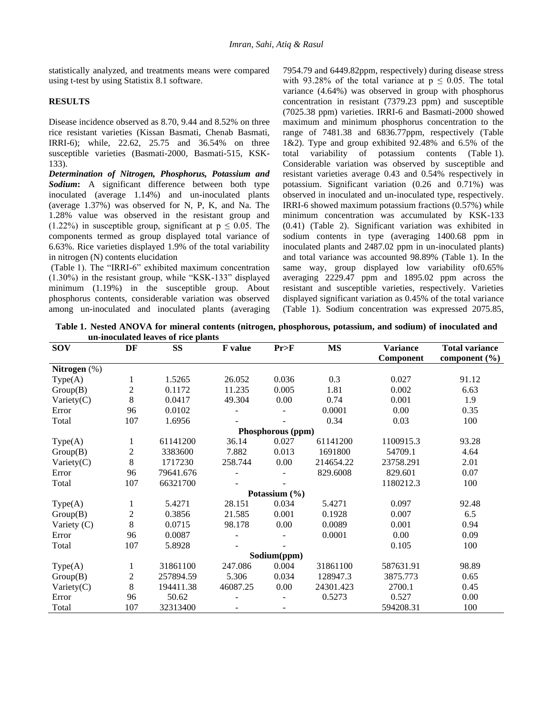statistically analyzed, and treatments means were compared using t-test by using Statistix 8.1 software.

## **RESULTS**

Disease incidence observed as 8.70, 9.44 and 8.52% on three rice resistant varieties (Kissan Basmati, Chenab Basmati, IRRI-6); while, 22.62, 25.75 and 36.54% on three susceptible varieties (Basmati-2000, Basmati-515, KSK-133).

*Determination of Nitrogen, Phosphorus, Potassium and Sodium***:** A significant difference between both type inoculated (average 1.14%) and un-inoculated plants (average 1.37%) was observed for N, P, K, and Na. The 1.28% value was observed in the resistant group and  $(1.22\%)$  in susceptible group, significant at  $p \le 0.05$ . The components termed as group displayed total variance of 6.63%. Rice varieties displayed 1.9% of the total variability in nitrogen (N) contents elucidation

(Table 1). The "IRRI-6" exhibited maximum concentration (1.30%) in the resistant group, while "KSK-133" displayed minimum (1.19%) in the susceptible group. About phosphorus contents, considerable variation was observed among un-inoculated and inoculated plants (averaging 7954.79 and 6449.82ppm, respectively) during disease stress with 93.28% of the total variance at  $p \le 0.05$ . The total variance (4.64%) was observed in group with phosphorus concentration in resistant (7379.23 ppm) and susceptible (7025.38 ppm) varieties. IRRI-6 and Basmati-2000 showed maximum and minimum phosphorus concentration to the range of 7481.38 and 6836.77ppm, respectively (Table 1&2). Type and group exhibited 92.48% and 6.5% of the total variability of potassium contents (Table 1). Considerable variation was observed by susceptible and resistant varieties average 0.43 and 0.54% respectively in potassium. Significant variation (0.26 and 0.71%) was observed in inoculated and un-inoculated type, respectively. IRRI-6 showed maximum potassium fractions (0.57%) while minimum concentration was accumulated by KSK-133 (0.41) (Table 2). Significant variation was exhibited in sodium contents in type (averaging 1400.68 ppm in inoculated plants and 2487.02 ppm in un-inoculated plants) and total variance was accounted 98.89% (Table 1). In the same way, group displayed low variability of0.65% averaging 2229.47 ppm and 1895.02 ppm across the resistant and susceptible varieties, respectively. Varieties displayed significant variation as 0.45% of the total variance (Table 1). Sodium concentration was expressed 2075.85,

**Table 1. Nested ANOVA for mineral contents (nitrogen, phosphorous, potassium, and sodium) of inoculated and un-inoculated leaves of rice plants**

| <b>SOV</b>        | DF             | <b>SS</b> | <b>F</b> value | Pr>F                     | <b>MS</b> | <b>Variance</b>  | <b>Total variance</b> |  |  |  |  |
|-------------------|----------------|-----------|----------------|--------------------------|-----------|------------------|-----------------------|--|--|--|--|
|                   |                |           |                |                          |           | <b>Component</b> | component $(\% )$     |  |  |  |  |
| Nitrogen $(\%)$   |                |           |                |                          |           |                  |                       |  |  |  |  |
| Type(A)           | 1              | 1.5265    | 26.052         | 0.036                    | 0.3       | 0.027            | 91.12                 |  |  |  |  |
| Group(B)          | $\overline{c}$ | 0.1172    | 11.235         | 0.005                    | 1.81      | 0.002            | 6.63                  |  |  |  |  |
| Variety $(C)$     | 8              | 0.0417    | 49.304         | 0.00                     | 0.74      | 0.001            | 1.9                   |  |  |  |  |
| Error             | 96             | 0.0102    |                |                          | 0.0001    | 0.00             | 0.35                  |  |  |  |  |
| Total             | 107            | 1.6956    |                |                          | 0.34      | 0.03             | 100                   |  |  |  |  |
| Phosphorous (ppm) |                |           |                |                          |           |                  |                       |  |  |  |  |
| Type(A)           |                | 61141200  | 36.14          | 0.027                    | 61141200  | 1100915.3        | 93.28                 |  |  |  |  |
| Group(B)          | $\overline{c}$ | 3383600   | 7.882          | 0.013                    | 1691800   | 54709.1          | 4.64                  |  |  |  |  |
| Variety $(C)$     | 8              | 1717230   | 258.744        | 0.00                     | 214654.22 | 23758.291        | 2.01                  |  |  |  |  |
| Error             | 96             | 79641.676 |                |                          | 829.6008  | 829.601          | 0.07                  |  |  |  |  |
| Total             | 107            | 66321700  |                |                          |           | 1180212.3        | 100                   |  |  |  |  |
|                   |                |           |                | Potassium (%)            |           |                  |                       |  |  |  |  |
| Type(A)           |                | 5.4271    | 28.151         | 0.034                    | 5.4271    | 0.097            | 92.48                 |  |  |  |  |
| Group(B)          | 2              | 0.3856    | 21.585         | 0.001                    | 0.1928    | 0.007            | 6.5                   |  |  |  |  |
| Variety (C)       | 8              | 0.0715    | 98.178         | 0.00                     | 0.0089    | 0.001            | 0.94                  |  |  |  |  |
| Error             | 96             | 0.0087    |                |                          | 0.0001    | 0.00             | 0.09                  |  |  |  |  |
| Total             | 107            | 5.8928    |                |                          |           | 0.105            | 100                   |  |  |  |  |
|                   |                |           |                | Sodium(ppm)              |           |                  |                       |  |  |  |  |
| Type(A)           | 1              | 31861100  | 247.086        | 0.004                    | 31861100  | 587631.91        | 98.89                 |  |  |  |  |
| Group(B)          | $\overline{c}$ | 257894.59 | 5.306          | 0.034                    | 128947.3  | 3875.773         | 0.65                  |  |  |  |  |
| Variety $(C)$     | 8              | 194411.38 | 46087.25       | 0.00                     | 24301.423 | 2700.1           | 0.45                  |  |  |  |  |
| Error             | 96             | 50.62     |                |                          | 0.5273    | 0.527            | 0.00                  |  |  |  |  |
| Total             | 107            | 32313400  |                | $\overline{\phantom{a}}$ |           | 594208.31        | 100                   |  |  |  |  |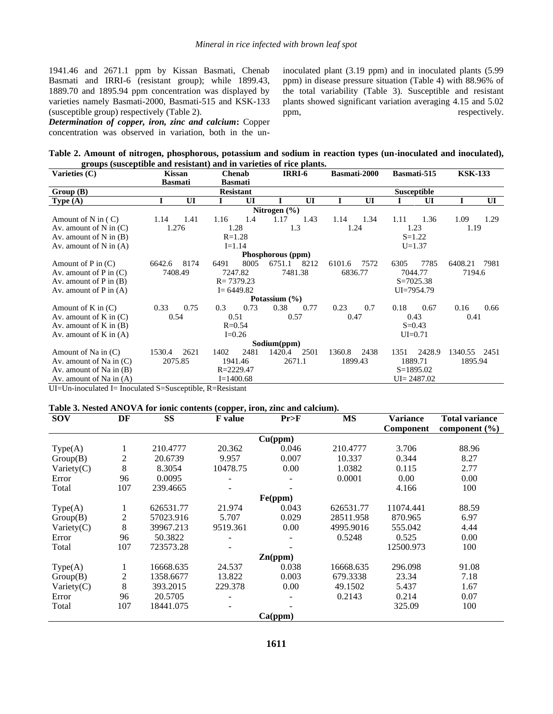1941.46 and 2671.1 ppm by Kissan Basmati, Chenab Basmati and IRRI-6 (resistant group); while 1899.43, 1889.70 and 1895.94 ppm concentration was displayed by varieties namely Basmati-2000, Basmati-515 and KSK-133 (susceptible group) respectively (Table 2).

*Determination of copper, iron, zinc and calcium***:** Copper concentration was observed in variation, both in the uninoculated plant (3.19 ppm) and in inoculated plants (5.99 ppm) in disease pressure situation (Table 4) with 88.96% of the total variability (Table 3). Susceptible and resistant plants showed significant variation averaging 4.15 and 5.02 ppm, respectively.

**Table 2. Amount of nitrogen, phosphorous, potassium and sodium in reaction types (un-inoculated and inoculated), groups (susceptible and resistant) and in varieties of rice plants.**

| Varieties $(C)$               | Kissan             |      | <b>Chenab</b> | IRRI-6         |                   | Basmati-2000       |               | Basmati-515 |         | <b>KSK-133</b> |         |      |  |
|-------------------------------|--------------------|------|---------------|----------------|-------------------|--------------------|---------------|-------------|---------|----------------|---------|------|--|
|                               | <b>Basmati</b>     |      |               | <b>Basmati</b> |                   |                    |               |             |         |                |         |      |  |
| Group (B)<br><b>Resistant</b> |                    |      |               |                |                   | <b>Susceptible</b> |               |             |         |                |         |      |  |
| <b>Type</b> $(A)$             |                    | UI   |               | UI             |                   | UI                 |               | UI          |         | UI             |         | UI   |  |
| Nitrogen $(\% )$              |                    |      |               |                |                   |                    |               |             |         |                |         |      |  |
| Amount of N in $(C)$          | 1.14               | 1.41 | 1.16          | 1.4            | 1.17              | 1.43               | 1.14          | 1.34        | 1.11    | 1.36           | 1.09    | 1.29 |  |
| Av. amount of $N$ in $(C)$    | 1.276              |      |               | 1.28           | 1.3               |                    | 1.24          |             |         | 1.23           | 1.19    |      |  |
| Av. amount of $N$ in $(B)$    |                    |      |               | $R = 1.28$     |                   |                    | $S = 1.22$    |             |         |                |         |      |  |
| Av. amount of $N$ in $(A)$    |                    |      |               | $I = 1.14$     |                   |                    |               |             |         | $U = 1.37$     |         |      |  |
|                               |                    |      |               |                | Phosphorous (ppm) |                    |               |             |         |                |         |      |  |
| Amount of $P$ in $(C)$        | 6642.6             | 8174 | 6491          | 8005           | 6751.1            | 8212               | 6101.6        | 7572        | 6305    | 7785           | 6408.21 | 7981 |  |
| Av. amount of $P$ in $(C)$    | 7408.49            |      | 7247.82       |                | 7481.38           |                    | 6836.77       |             | 7044.77 |                | 7194.6  |      |  |
| Av. amount of $P$ in $(B)$    |                    |      |               | $R = 7379.23$  |                   |                    | $S = 7025.38$ |             |         |                |         |      |  |
| Av. amount of $P$ in $(A)$    |                    |      |               | $I = 6449.82$  |                   |                    | UI=7954.79    |             |         |                |         |      |  |
|                               |                    |      |               |                | Potassium (%)     |                    |               |             |         |                |         |      |  |
| Amount of K in $(C)$          | 0.33               | 0.75 | 0.3           | 0.73           | 0.38              | 0.77               | 0.23          | 0.7         | 0.18    | 0.67           | 0.16    | 0.66 |  |
| Av. amount of $K$ in $(C)$    | 0.54               |      | 0.51          |                | 0.57              |                    | 0.47          |             |         | 0.43           | 0.41    |      |  |
| Av. amount of $K$ in $(B)$    |                    |      |               | $R = 0.54$     |                   |                    | $S = 0.43$    |             |         |                |         |      |  |
| Av. amount of $K$ in $(A)$    |                    |      |               | $I=0.26$       |                   |                    | $UI=0.71$     |             |         |                |         |      |  |
| Sodium(ppm)                   |                    |      |               |                |                   |                    |               |             |         |                |         |      |  |
| Amount of Na in (C)           | 1530.4             | 2621 | 1402          | 2481           | 1420.4            | 2501               | 1360.8        | 2438        | 1351    | 2428.9         | 1340.55 | 2451 |  |
| Av. amount of Na in $(C)$     | 2075.85<br>1941.46 |      |               | 2671.1         |                   | 1899.43<br>1889.71 |               |             | 1895.94 |                |         |      |  |
| Av. amount of Na in $(B)$     |                    |      |               | $R = 2229.47$  |                   |                    |               |             |         | $S=1895.02$    |         |      |  |
| Av. amount of Na in (A)       |                    |      |               | $I = 1400.68$  |                   |                    |               |             |         | $UI = 2487.02$ |         |      |  |

UI=Un-inoculated I= Inoculated S=Susceptible, R=Resistant

#### **Table 3. Nested ANOVA for ionic contents (copper, iron, zinc and calcium).**

| <b>SOV</b>    | DF             | <b>SS</b> | <b>F</b> value | Pr>F               | <b>MS</b> | Variance  | <b>Total variance</b> |  |  |  |  |
|---------------|----------------|-----------|----------------|--------------------|-----------|-----------|-----------------------|--|--|--|--|
|               |                |           |                |                    |           | Component | component $(\% )$     |  |  |  |  |
| Cu(ppm)       |                |           |                |                    |           |           |                       |  |  |  |  |
| Type(A)       | 1              | 210.4777  | 20.362         | 0.046              | 210.4777  | 3.706     | 88.96                 |  |  |  |  |
| Group(B)      | 2              | 20.6739   | 9.957          | 0.007              | 10.337    | 0.344     | 8.27                  |  |  |  |  |
| Variety $(C)$ | 8              | 8.3054    | 10478.75       | 0.00               | 1.0382    | 0.115     | 2.77                  |  |  |  |  |
| Error         | 96             | 0.0095    |                |                    | 0.0001    | 0.00      | 0.00                  |  |  |  |  |
| Total         | 107            | 239.4665  |                |                    |           | 4.166     | 100                   |  |  |  |  |
| Fe(ppm)       |                |           |                |                    |           |           |                       |  |  |  |  |
| Type(A)       | 1              | 626531.77 | 21.974         | 0.043              | 626531.77 | 11074.441 | 88.59                 |  |  |  |  |
| Group(B)      | $\overline{2}$ | 57023.916 | 5.707          | 0.029              | 28511.958 | 870.965   | 6.97                  |  |  |  |  |
| Variety $(C)$ | 8              | 39967.213 | 9519.361       | 0.00               | 4995.9016 | 555.042   | 4.44                  |  |  |  |  |
| Error         | 96             | 50.3822   |                |                    | 0.5248    | 0.525     | 0.00                  |  |  |  |  |
| Total         | 107            | 723573.28 |                |                    |           | 12500.973 | 100                   |  |  |  |  |
|               |                |           |                | $\mathbf{Zn}(ppm)$ |           |           |                       |  |  |  |  |
| Type(A)       | 1              | 16668.635 | 24.537         | 0.038              | 16668.635 | 296.098   | 91.08                 |  |  |  |  |
| Group(B)      | 2              | 1358.6677 | 13.822         | 0.003              | 679.3338  | 23.34     | 7.18                  |  |  |  |  |
| Variety $(C)$ | 8              | 393.2015  | 229.378        | 0.00               | 49.1502   | 5.437     | 1.67                  |  |  |  |  |
| Error         | 96             | 20.5705   |                |                    | 0.2143    | 0.214     | 0.07                  |  |  |  |  |
| Total         | 107            | 18441.075 |                |                    |           | 325.09    | 100                   |  |  |  |  |
| Ca(ppm)       |                |           |                |                    |           |           |                       |  |  |  |  |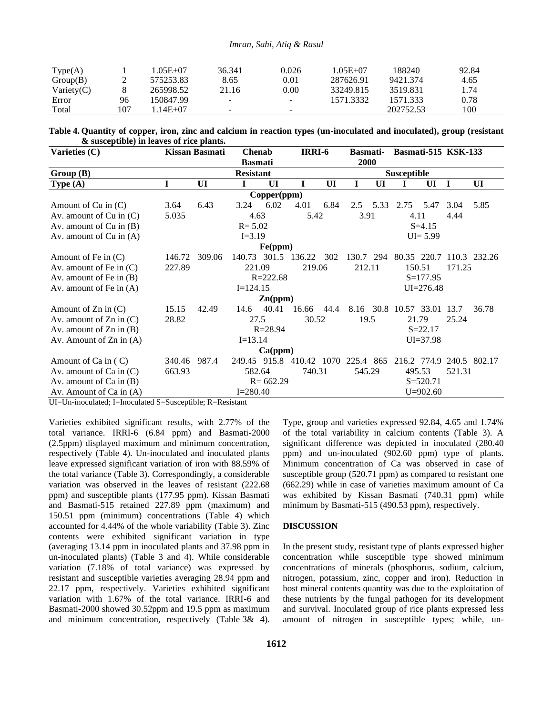| Type(A)       |     | 1.05E+07  | 36.341                   | 0.026                    | 1.05E+07  | 188240    | 92.84 |  |
|---------------|-----|-----------|--------------------------|--------------------------|-----------|-----------|-------|--|
| Group(B)      |     | 575253.83 | 8.65                     | $0.01\,$                 | 287626.91 | 9421.374  | 4.65  |  |
| Variety $(C)$ |     | 265998.52 | 21.16                    | $0.00\,$                 | 33249.815 | 3519.831  | . 74  |  |
| Error         | 96  | 150847.99 | $\overline{\phantom{0}}$ | $\sim$                   | 1571.3332 | 1571.333  | 0.78  |  |
| Total         | 107 | $14E+07$  | $\sim$                   | $\overline{\phantom{a}}$ |           | 202752.53 | 100   |  |

**Table 4. Quantity of copper, iron, zinc and calcium in reaction types (un-inoculated and inoculated), group (resistant & susceptible) in leaves of rice plants.**

| Varieties (C)               | Kissan Basmati<br><b>Chenab</b> |              |                  |                             | IRRI-6<br><b>Basmati-</b> |               |               | <b>Basmati-515 KSK-133</b> |                  |                  |      |              |
|-----------------------------|---------------------------------|--------------|------------------|-----------------------------|---------------------------|---------------|---------------|----------------------------|------------------|------------------|------|--------------|
|                             |                                 |              | <b>Basmati</b>   |                             |                           |               | 2000          |                            |                  |                  |      |              |
| Group(B)                    |                                 |              | <b>Resistant</b> |                             |                           |               |               |                            | Susceptible      |                  |      |              |
| <b>Type</b> $(A)$           | Ī                               | UI           |                  | UI                          |                           | UI            | I             | UI                         |                  | UI               | I    | UI           |
| Copper(ppm)                 |                                 |              |                  |                             |                           |               |               |                            |                  |                  |      |              |
| Amount of $Cu$ in $(C)$     | 3.64                            | 6.43         | 3.24             | 6.02                        | 4.01                      | 6.84          | $2.5^{\circ}$ | 5.33                       | 2.75             | 5.47             | 3.04 | 5.85         |
| Av. amount of $Cu$ in $(C)$ | 5.035                           |              | 4.63             |                             | 5.42                      |               | 3.91          |                            | 4.11             |                  | 4.44 |              |
| Av. amount of $Cu$ in $(B)$ |                                 |              | $R = 5.02$       |                             |                           |               |               |                            |                  | $S = 4.15$       |      |              |
| Av. amount of $Cu$ in $(A)$ |                                 |              | $I = 3.19$       |                             |                           |               |               |                            |                  | $UI = 5.99$      |      |              |
|                             |                                 |              |                  | Fe(ppm)                     |                           |               |               |                            |                  |                  |      |              |
| Amount of Fe in $(C)$       | 146.72                          | 309.06       | 140.73           | 301.5                       | 136.22                    | 302           | 130.7         | 294                        |                  | 80.35 220.7      |      | 110.3 232.26 |
| Av. amount of Fe in $(C)$   | 227.89                          |              | 221.09           |                             | 219.06                    |               | 212.11        |                            |                  | 150.51<br>171.25 |      |              |
| Av. amount of Fe in $(B)$   |                                 | $R = 222.68$ |                  |                             |                           |               | $S = 177.95$  |                            |                  |                  |      |              |
| Av. amount of Fe in $(A)$   |                                 | $I=124.15$   |                  |                             |                           | $UI = 276.48$ |               |                            |                  |                  |      |              |
|                             |                                 |              |                  | $\mathbf{Zn}(\mathbf{ppm})$ |                           |               |               |                            |                  |                  |      |              |
| Amount of $Zn$ in $(C)$     | 15.15                           | 42.49        | 14.6             | 40.41                       | 16.66                     | 44.4          | 8.16 30.8     |                            | 10.57 33.01 13.7 |                  |      | 36.78        |
| Av. amount of $Zn$ in $(C)$ | 28.82                           | 27.5         |                  | 30.52                       |                           | 19.5          |               | 21.79                      |                  | 25.24            |      |              |
| Av. amount of $Zn$ in $(B)$ |                                 | $R = 28.94$  |                  |                             |                           | $S = 22.17$   |               |                            |                  |                  |      |              |
| Av. Amount of $Zn$ in $(A)$ |                                 | $I = 13.14$  |                  |                             |                           |               | $UI = 37.98$  |                            |                  |                  |      |              |
| Ca(ppm)                     |                                 |              |                  |                             |                           |               |               |                            |                  |                  |      |              |
| Amount of Ca in (C)         | 340.46                          | 987.4        | 249.45           | 915.8                       | 410.42 1070               |               | 225.4 865     |                            |                  | 216.2 774.9      |      | 240.5 802.17 |
| Av. amount of $Ca$ in $(C)$ | 663.93                          | 582.64       |                  | 740.31                      |                           | 545.29        |               | 495.53                     |                  | 521.31           |      |              |
| Av. amount of $Ca$ in $(B)$ |                                 |              |                  | $R = 662.29$                |                           |               |               |                            |                  | $S = 520.71$     |      |              |
| Av. Amount of Ca in (A)     |                                 |              | $I = 280.40$     |                             |                           |               |               |                            |                  | $U=902.60$       |      |              |

UI=Un-inoculated; I=Inoculated S=Susceptible; R=Resistant

Varieties exhibited significant results, with 2.77% of the total variance. IRRI-6 (6.84 ppm) and Basmati-2000 (2.5ppm) displayed maximum and minimum concentration, respectively (Table 4). Un-inoculated and inoculated plants leave expressed significant variation of iron with 88.59% of the total variance (Table 3). Correspondingly, a considerable variation was observed in the leaves of resistant (222.68 ppm) and susceptible plants (177.95 ppm). Kissan Basmati and Basmati-515 retained 227.89 ppm (maximum) and 150.51 ppm (minimum) concentrations (Table 4) which accounted for 4.44% of the whole variability (Table 3). Zinc contents were exhibited significant variation in type (averaging 13.14 ppm in inoculated plants and 37.98 ppm in un-inoculated plants) (Table 3 and 4). While considerable variation (7.18% of total variance) was expressed by resistant and susceptible varieties averaging 28.94 ppm and 22.17 ppm, respectively. Varieties exhibited significant variation with 1.67% of the total variance. IRRI-6 and Basmati-2000 showed 30.52ppm and 19.5 ppm as maximum and minimum concentration, respectively (Table 3& 4).

Type, group and varieties expressed 92.84, 4.65 and 1.74% of the total variability in calcium contents (Table 3). A significant difference was depicted in inoculated (280.40 ppm) and un-inoculated (902.60 ppm) type of plants. Minimum concentration of Ca was observed in case of susceptible group (520.71 ppm) as compared to resistant one (662.29) while in case of varieties maximum amount of Ca was exhibited by Kissan Basmati (740.31 ppm) while minimum by Basmati-515 (490.53 ppm), respectively.

#### **DISCUSSION**

In the present study, resistant type of plants expressed higher concentration while susceptible type showed minimum concentrations of minerals (phosphorus, sodium, calcium, nitrogen, potassium, zinc, copper and iron). Reduction in host mineral contents quantity was due to the exploitation of these nutrients by the fungal pathogen for its development and survival. Inoculated group of rice plants expressed less amount of nitrogen in susceptible types; while, un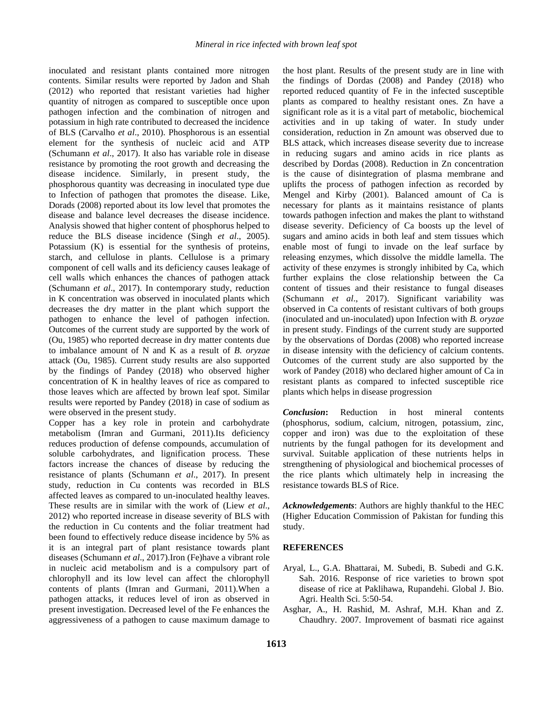inoculated and resistant plants contained more nitrogen contents. Similar results were reported by Jadon and Shah (2012) who reported that resistant varieties had higher quantity of nitrogen as compared to susceptible once upon pathogen infection and the combination of nitrogen and potassium in high rate contributed to decreased the incidence of BLS (Carvalho *et al*., 2010). Phosphorous is an essential element for the synthesis of nucleic acid and ATP (Schumann *et al*., 2017). It also has variable role in disease resistance by promoting the root growth and decreasing the disease incidence. Similarly, in present study, the phosphorous quantity was decreasing in inoculated type due to Infection of pathogen that promotes the disease. Like, Dorads (2008) reported about its low level that promotes the disease and balance level decreases the disease incidence. Analysis showed that higher content of phosphorus helped to reduce the BLS disease incidence (Singh *et al*., 2005). Potassium (K) is essential for the synthesis of proteins, starch, and cellulose in plants. Cellulose is a primary component of cell walls and its deficiency causes leakage of cell walls which enhances the chances of pathogen attack (Schumann *et al*., 2017). In contemporary study, reduction in K concentration was observed in inoculated plants which decreases the dry matter in the plant which support the pathogen to enhance the level of pathogen infection. Outcomes of the current study are supported by the work of (Ou, 1985) who reported decrease in dry matter contents due to imbalance amount of N and K as a result of *B. oryzae*  attack (Ou, 1985). Current study results are also supported by the findings of Pandey (2018) who observed higher concentration of K in healthy leaves of rice as compared to those leaves which are affected by brown leaf spot. Similar results were reported by Pandey (2018) in case of sodium as were observed in the present study.

Copper has a key role in protein and carbohydrate metabolism (Imran and Gurmani, 2011).Its deficiency reduces production of defense compounds, accumulation of soluble carbohydrates, and lignification process. These factors increase the chances of disease by reducing the resistance of plants (Schumann *et al*., 2017). In present study, reduction in Cu contents was recorded in BLS affected leaves as compared to un-inoculated healthy leaves. These results are in similar with the work of (Liew *et al*., 2012) who reported increase in disease severity of BLS with the reduction in Cu contents and the foliar treatment had been found to effectively reduce disease incidence by 5% as it is an integral part of plant resistance towards plant diseases (Schumann *et al*., 2017).Iron (Fe)have a vibrant role in nucleic acid metabolism and is a compulsory part of chlorophyll and its low level can affect the chlorophyll contents of plants (Imran and Gurmani, 2011).When a pathogen attacks, it reduces level of iron as observed in present investigation. Decreased level of the Fe enhances the aggressiveness of a pathogen to cause maximum damage to

the host plant. Results of the present study are in line with the findings of Dordas (2008) and Pandey (2018) who reported reduced quantity of Fe in the infected susceptible plants as compared to healthy resistant ones. Zn have a significant role as it is a vital part of metabolic, biochemical activities and in up taking of water. In study under consideration, reduction in Zn amount was observed due to BLS attack, which increases disease severity due to increase in reducing sugars and amino acids in rice plants as described by Dordas (2008). Reduction in Zn concentration is the cause of disintegration of plasma membrane and uplifts the process of pathogen infection as recorded by Mengel and Kirby (2001). Balanced amount of Ca is necessary for plants as it maintains resistance of plants towards pathogen infection and makes the plant to withstand disease severity. Deficiency of Ca boosts up the level of sugars and amino acids in both leaf and stem tissues which enable most of fungi to invade on the leaf surface by releasing enzymes, which dissolve the middle lamella. The activity of these enzymes is strongly inhibited by Ca, which further explains the close relationship between the Ca content of tissues and their resistance to fungal diseases (Schumann *et al*., 2017). Significant variability was observed in Ca contents of resistant cultivars of both groups (inoculated and un-inoculated) upon Infection with *B. oryzae*  in present study. Findings of the current study are supported by the observations of Dordas (2008) who reported increase in disease intensity with the deficiency of calcium contents. Outcomes of the current study are also supported by the work of Pandey (2018) who declared higher amount of Ca in resistant plants as compared to infected susceptible rice plants which helps in disease progression

*Conclusion***:** Reduction in host mineral contents (phosphorus, sodium, calcium, nitrogen, potassium, zinc, copper and iron) was due to the exploitation of these nutrients by the fungal pathogen for its development and survival. Suitable application of these nutrients helps in strengthening of physiological and biochemical processes of the rice plants which ultimately help in increasing the resistance towards BLS of Rice.

*Acknowledgements*: Authors are highly thankful to the HEC (Higher Education Commission of Pakistan for funding this study.

#### **REFERENCES**

- Aryal, L., G.A. Bhattarai, M. Subedi, B. Subedi and G.K. Sah. 2016. Response of rice varieties to brown spot disease of rice at Paklihawa, Rupandehi. Global J. Bio. Agri. Health Sci. 5:50-54.
- Asghar, A., H. Rashid, M. Ashraf, M.H. Khan and Z. Chaudhry. 2007. Improvement of basmati rice against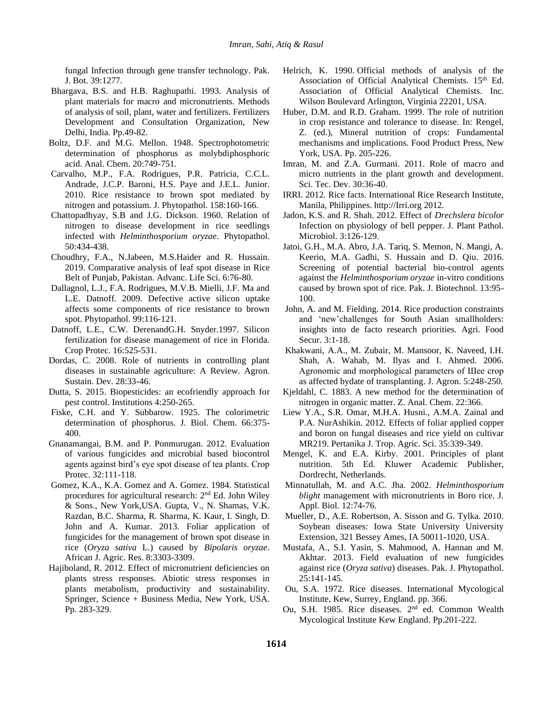fungal Infection through gene transfer technology. Pak. J. Bot. 39:1277.

- Bhargava, B.S. and H.B. Raghupathi. 1993. Analysis of plant materials for macro and micronutrients. Methods of analysis of soil, plant, water and fertilizers. Fertilizers Development and Consultation Organization, New Delhi, India. Pp.49-82.
- Boltz, D.F. and M.G. Mellon. 1948. Spectrophotometric determination of phosphorus as molybdiphosphoric acid. Anal. Chem. 20:749-751.
- Carvalho, M.P., F.A. Rodrigues, P.R. Patricia, C.C.L. Andrade, J.C.P. Baroni, H.S. Paye and J.E.L. Junior. 2010. Rice resistance to brown spot mediated by nitrogen and potassium. J. Phytopathol. 158:160-166.
- Chattopadhyay, S.B and J.G. Dickson. 1960. Relation of nitrogen to disease development in rice seedlings infected with *Helminthosporium oryzae*. Phytopathol. 50:434-438.
- Choudhry, F.A., N.Jabeen, M.S.Haider and R. Hussain. 2019. Comparative analysis of leaf spot disease in Rice Belt of Punjab, Pakistan. Advanc. Life Sci. 6:76-80.
- Dallagnol, L.J., F.A. Rodrigues, M.V.B. Mielli, J.F. Ma and L.E. Datnoff. 2009. Defective active silicon uptake affects some components of rice resistance to brown spot. Phytopathol. 99:116-121.
- Datnoff, L.E., C.W. DerenandG.H. Snyder.1997. Silicon fertilization for disease management of rice in Florida. Crop Protec. 16:525-531.
- Dordas, C. 2008. Role of nutrients in controlling plant diseases in sustainable agriculture: A Review. Agron. Sustain. Dev. 28:33-46.
- Dutta, S. 2015. Biopesticides: an ecofriendly approach for pest control. Institutions 4:250-265.
- Fiske, C.H. and Y. Subbarow. 1925. The colorimetric determination of phosphorus. J. Biol. Chem. 66:375- 400.
- Gnanamangai, B.M. and P. Ponmurugan. 2012. Evaluation of various fungicides and microbial based biocontrol agents against bird's eye spot disease of tea plants. Crop Protec. 32:111-118.
- Gomez, K.A., K.A. Gomez and A. Gomez. 1984. Statistical procedures for agricultural research: 2nd Ed. John Wiley & Sons., New York,USA. Gupta, V., N. Shamas, V.K. Razdan, B.C. Sharma, R. Sharma, K. Kaur, I. Singh, D. John and A. Kumar. 2013. Foliar application of fungicides for the management of brown spot disease in rice (*Oryza sativa* L.) caused by *Bipolaris oryzae*. African J. Agric. Res. 8:3303-3309.
- Hajiboland, R. 2012. Effect of micronutrient deficiencies on plants stress responses. Abiotic stress responses in plants metabolism, productivity and sustainability. Springer, Science + Business Media, New York, USA. Pp. 283-329.
- Helrich, K. 1990. Official methods of analysis of the Association of Official Analytical Chemists. 15<sup>th</sup> Ed. Association of Official Analytical Chemists. Inc. Wilson Boulevard Arlington, Virginia 22201, USA.
- Huber, D.M. and R.D. Graham. 1999. The role of nutrition in crop resistance and tolerance to disease. In: Rengel, Z. (ed.), Mineral nutrition of crops: Fundamental mechanisms and implications. Food Product Press, New York, USA. Pp. 205-226.
- Imran, M. and Z.A. Gurmani. 2011. Role of macro and micro nutrients in the plant growth and development. Sci. Tec. Dev. 30:36-40.
- IRRI. 2012. Rice facts. International Rice Research Institute, Manila, Philippines. http://Irri.org 2012.
- Jadon, K.S. and R. Shah. 2012. Effect of *Drechslera bicolor* Infection on physiology of bell pepper. J. Plant Pathol. Microbiol. 3:126-129.
- Jatoi, G.H., M.A. Abro, J.A. Tariq, S. Memon, N. Mangi, A. Keerio, M.A. Gadhi, S. Hussain and D. Qiu. 2016. Screening of potential bacterial bio-control agents against the *Helminthosporium oryzae* in-vitro conditions caused by brown spot of rice. Pak. J. Biotechnol. 13:95- 100.
- John, A. and M. Fielding. 2014. Rice production constraints and 'new'challenges for South Asian smallholders: insights into de facto research priorities. Agri. Food Secur. 3:1-18.
- Khakwani, A.A., M. Zubair, M. Mansoor, K. Naveed, I.H. Shah, A. Wahab, M. Ilyas and I. Ahmed. 2006. Agronomic and morphological parameters of Шее crop as affected bydate of transplanting. J. Agron. 5:248-250.
- Kjeldahl, C. 1883. A new method for the determination of nitrogen in organic matter. Z. Anal. Chem. 22:366.
- Liew Y.A., S.R. Omar, M.H.A. Husni., A.M.A. Zainal and P.A. NurAshikin. 2012. Effects of foliar applied copper and boron on fungal diseases and rice yield on cultivar MR219. Pertanika J. Trop. Agric. Sci. 35:339-349.
- Mengel, K. and E.A. Kirby. 2001. Principles of plant nutrition. 5th Ed. Kluwer Academic Publisher, Dordrecht, Netherlands.
- Minnatullah, M. and A.C. Jha. 2002. *Helminthosporium blight* management with micronutrients in Boro rice. J. Appl. Biol. 12:74-76.
- Mueller, D., A.E. Robertson, A. Sisson and G. Tylka. 2010. Soybean diseases: Iowa State University University Extension, 321 Bessey Ames, IA 50011-1020, USA.
- Mustafa, A., S.I. Yasin, S. Mahmood, A. Hannan and M. Akhtar. 2013. Field evaluation of new fungicides against rice (*Oryza sativa*) diseases. Pak. J. Phytopathol. 25:141-145.
- Ou, S.A. 1972. Rice diseases. International Mycological Institute, Kew, Surrey, England. pp. 366.
- Ou, S.H. 1985. Rice diseases. 2<sup>nd</sup> ed. Common Wealth Mycological Institute Kew England. Pp.201-222.